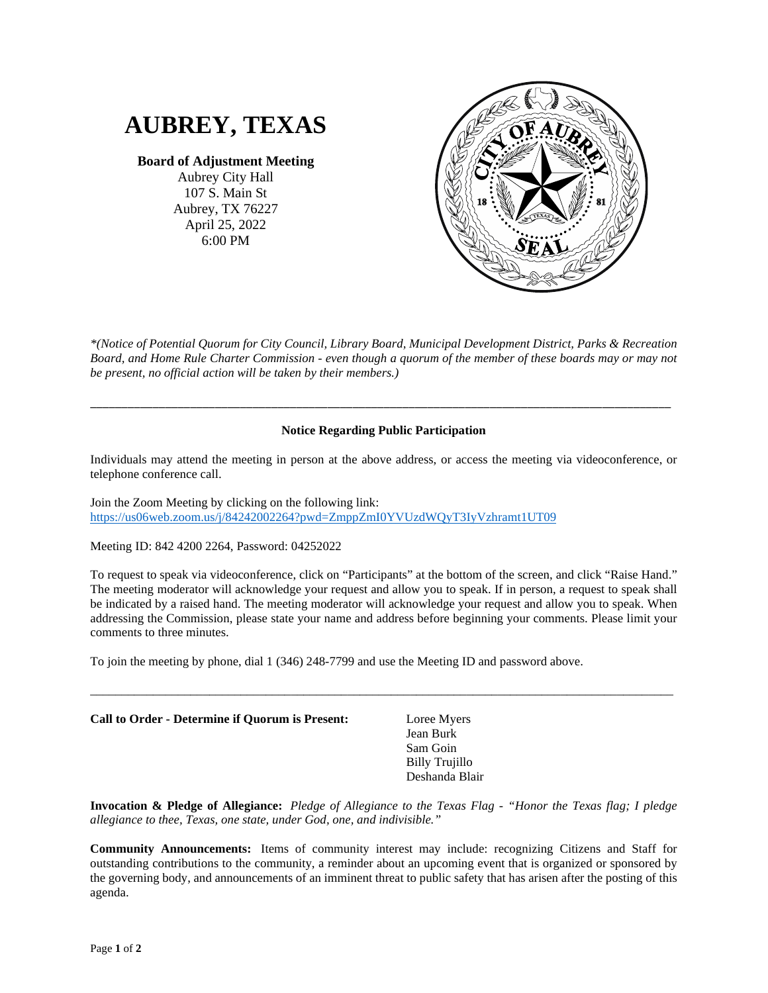# **AUBREY, TEXAS**

## **Board of Adjustment Meeting**

Aubrey City Hall 107 S. Main St Aubrey, TX 76227 April 25, 2022 6:00 PM



*\*(Notice of Potential Quorum for City Council, Library Board, Municipal Development District, Parks & Recreation Board, and Home Rule Charter Commission - even though a quorum of the member of these boards may or may not be present, no official action will be taken by their members.)*

### **Notice Regarding Public Participation**

\_\_\_\_\_\_\_\_\_\_\_\_\_\_\_\_\_\_\_\_\_\_\_\_\_\_\_\_\_\_\_\_\_\_\_\_\_\_\_\_\_\_\_\_\_\_\_\_\_\_\_\_\_\_\_\_\_\_\_\_\_\_\_\_\_\_\_\_\_\_\_\_\_\_\_\_\_\_\_\_\_\_\_\_\_\_\_\_\_\_\_\_\_

Individuals may attend the meeting in person at the above address, or access the meeting via videoconference, or telephone conference call.

Join the Zoom Meeting by clicking on the following link: <https://us06web.zoom.us/j/84242002264?pwd=ZmppZmI0YVUzdWQyT3IyVzhramt1UT09>

Meeting ID: 842 4200 2264, Password: 04252022

To request to speak via videoconference, click on "Participants" at the bottom of the screen, and click "Raise Hand." The meeting moderator will acknowledge your request and allow you to speak. If in person, a request to speak shall be indicated by a raised hand. The meeting moderator will acknowledge your request and allow you to speak. When addressing the Commission, please state your name and address before beginning your comments. Please limit your comments to three minutes.

\_\_\_\_\_\_\_\_\_\_\_\_\_\_\_\_\_\_\_\_\_\_\_\_\_\_\_\_\_\_\_\_\_\_\_\_\_\_\_\_\_\_\_\_\_\_\_\_\_\_\_\_\_\_\_\_\_\_\_\_\_\_\_\_\_\_\_\_\_\_\_\_\_\_\_\_\_\_\_\_\_\_\_\_\_\_\_\_\_\_\_\_\_

To join the meeting by phone, dial 1 (346) 248-7799 and use the Meeting ID and password above.

| Call to Order - Determine if Ouorum is Present: | Loree Myers<br>Jean Burk<br>Sam Goin<br>Billy Trujillo<br>Deshanda Blair |  |
|-------------------------------------------------|--------------------------------------------------------------------------|--|
|                                                 |                                                                          |  |

**Invocation & Pledge of Allegiance:** *Pledge of Allegiance to the Texas Flag - "Honor the Texas flag; I pledge allegiance to thee, Texas, one state, under God, one, and indivisible."*

**Community Announcements:** Items of community interest may include: recognizing Citizens and Staff for outstanding contributions to the community, a reminder about an upcoming event that is organized or sponsored by the governing body, and announcements of an imminent threat to public safety that has arisen after the posting of this agenda.